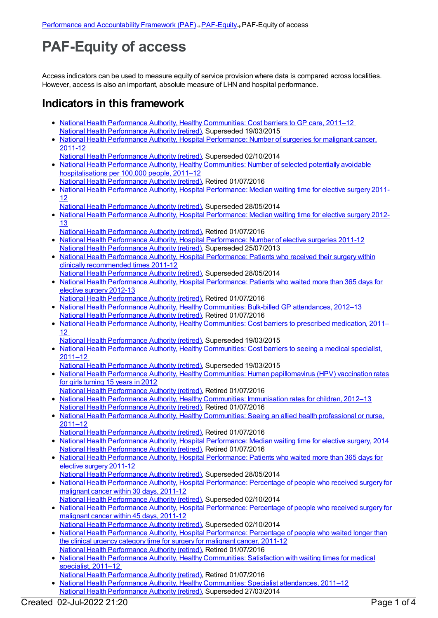## **PAF-Equity of access**

Access indicators can be used to measure equity of service provision where data is compared across localities. However, access is also an important, absolute measure of LHN and hospital performance.

## **Indicators in this framework**

- National Health Performance Authority, Healthy [Communities:](https://meteor.aihw.gov.au/content/548008) Cost barriers to GP care, 2011–12 National Health [Performance](https://meteor.aihw.gov.au/RegistrationAuthority/8) Authority (retired), Superseded 19/03/2015
- National Health Performance Authority, Hospital [Performance:](https://meteor.aihw.gov.au/content/530143) Number of surgeries for malignant cancer, 2011-12
- National Health [Performance](https://meteor.aihw.gov.au/RegistrationAuthority/8) Authority (retired), Superseded 02/10/2014
- National Health Performance Authority, Healthy [Communities:](https://meteor.aihw.gov.au/content/549587) Number of selected potentially avoidable hospitalisations per 100,000 people, 2011–12
- National Health [Performance](https://meteor.aihw.gov.au/RegistrationAuthority/8) Authority (retired), Retired 01/07/2016
- National Health Performance Authority, Hospital [Performance:](https://meteor.aihw.gov.au/content/527347) Median waiting time for elective surgery 2011-12
	- National Health [Performance](https://meteor.aihw.gov.au/RegistrationAuthority/8) Authority (retired), Superseded 28/05/2014
- National Health Performance Authority, Hospital [Performance:](https://meteor.aihw.gov.au/content/532942) Median waiting time for elective surgery 2012-13
- National Health [Performance](https://meteor.aihw.gov.au/RegistrationAuthority/8) Authority (retired), Retired 01/07/2016
- National Health Performance Authority, Hospital [Performance:](https://meteor.aihw.gov.au/content/527374) Number of elective surgeries 2011-12 National Health [Performance](https://meteor.aihw.gov.au/RegistrationAuthority/8) Authority (retired), Superseded 25/07/2013
- National Health Performance Authority, Hospital [Performance:](https://meteor.aihw.gov.au/content/527368) Patients who received their surgery within clinically recommended times 2011-12
- National Health [Performance](https://meteor.aihw.gov.au/RegistrationAuthority/8) Authority (retired), Superseded 28/05/2014
- National Health Performance Authority, Hospital [Performance:](https://meteor.aihw.gov.au/content/532932) Patients who waited more than 365 days for elective surgery 2012-13
- National Health [Performance](https://meteor.aihw.gov.au/RegistrationAuthority/8) Authority (retired), Retired 01/07/2016 • National Health Performance Authority, Healthy [Communities:](https://meteor.aihw.gov.au/content/528911) Bulk-billed GP attendances, 2012-13
- National Health [Performance](https://meteor.aihw.gov.au/RegistrationAuthority/8) Authority (retired), Retired 01/07/2016
- National Health Performance Authority, Healthy [Communities:](https://meteor.aihw.gov.au/content/548023) Cost barriers to prescribed medication, 2011– 12
- National Health [Performance](https://meteor.aihw.gov.au/RegistrationAuthority/8) Authority (retired), Superseded 19/03/2015
- National Health Performance Authority, Healthy [Communities:](https://meteor.aihw.gov.au/content/548011) Cost barriers to seeing a medical specialist, 2011–12
- National Health [Performance](https://meteor.aihw.gov.au/RegistrationAuthority/8) Authority (retired), Superseded 19/03/2015
- National Health Performance Authority, Healthy Communities: Human [papillomavirus](https://meteor.aihw.gov.au/content/564385) (HPV) vaccination rates for girls turning 15 years in 2012
	- National Health [Performance](https://meteor.aihw.gov.au/RegistrationAuthority/8) Authority (retired), Retired 01/07/2016
- National Health Performance Authority, Healthy [Communities:](https://meteor.aihw.gov.au/content/564342) Immunisation rates for children, 2012-13 National Health [Performance](https://meteor.aihw.gov.au/RegistrationAuthority/8) Authority (retired), Retired 01/07/2016
- National Health Performance Authority, Healthy [Communities:](https://meteor.aihw.gov.au/content/546854) Seeing an allied health professional or nurse, 2011–12
- National Health [Performance](https://meteor.aihw.gov.au/RegistrationAuthority/8) Authority (retired), Retired 01/07/2016
- National Health Performance Authority, Hospital [Performance:](https://meteor.aihw.gov.au/content/558302) Median waiting time for elective surgery, 2014 National Health [Performance](https://meteor.aihw.gov.au/RegistrationAuthority/8) Authority (retired), Retired 01/07/2016
- National Health Performance Authority, Hospital [Performance:](https://meteor.aihw.gov.au/content/527371) Patients who waited more than 365 days for elective surgery 2011-12
- National Health [Performance](https://meteor.aihw.gov.au/RegistrationAuthority/8) Authority (retired), Superseded 28/05/2014
- National Health Performance Authority, Hospital [Performance:](https://meteor.aihw.gov.au/content/530411) Percentage of people who received surgery for malignant cancer within 30 days, 2011-12 National Health [Performance](https://meteor.aihw.gov.au/RegistrationAuthority/8) Authority (retired), Superseded 02/10/2014
- National Health Performance Authority, Hospital [Performance:](https://meteor.aihw.gov.au/content/543422) Percentage of people who received surgery for malignant cancer within 45 days, 2011-12 National Health [Performance](https://meteor.aihw.gov.au/RegistrationAuthority/8) Authority (retired), Superseded 02/10/2014
- National Health Performance Authority, Hospital [Performance:](https://meteor.aihw.gov.au/content/530408) Percentage of people who waited longer than the clinical urgency category time for surgery for malignant cancer, 2011-12 National Health [Performance](https://meteor.aihw.gov.au/RegistrationAuthority/8) Authority (retired), Retired 01/07/2016
- National Health Performance Authority, Healthy [Communities:](https://meteor.aihw.gov.au/content/547997) Satisfaction with waiting times for medical specialist, 2011-12
- National Health [Performance](https://meteor.aihw.gov.au/RegistrationAuthority/8) Authority (retired), Retired 01/07/2016
- National Health Performance Authority, Healthy [Communities:](https://meteor.aihw.gov.au/content/547062) Specialist attendances, 2011–12 National Health [Performance](https://meteor.aihw.gov.au/RegistrationAuthority/8) Authority (retired), Superseded 27/03/2014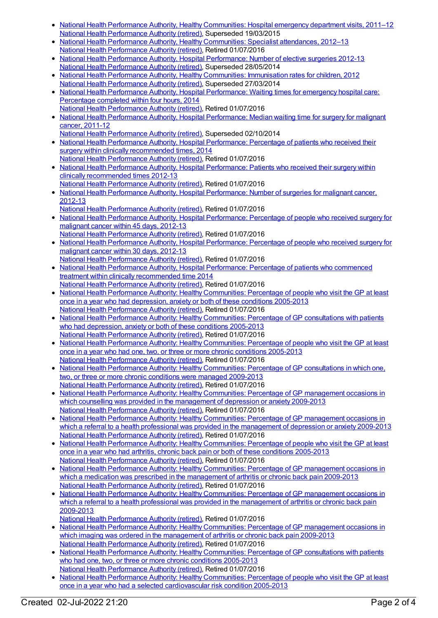- National Health Performance Authority, Healthy [Communities:](https://meteor.aihw.gov.au/content/548002) Hospital emergency department visits, 2011–12  $\bullet$ National Health [Performance](https://meteor.aihw.gov.au/RegistrationAuthority/8) Authority (retired), Superseded 19/03/2015
- National Health Performance Authority, Healthy [Communities:](https://meteor.aihw.gov.au/content/547952) Specialist attendances, 2012–13 National Health [Performance](https://meteor.aihw.gov.au/RegistrationAuthority/8) Authority (retired), Retired 01/07/2016
- National Health Performance Authority, Hospital [Performance:](https://meteor.aihw.gov.au/content/532929) Number of elective surgeries 2012-13  $\bullet$ National Health [Performance](https://meteor.aihw.gov.au/RegistrationAuthority/8) Authority (retired), Superseded 28/05/2014
- National Health Performance Authority, Healthy [Communities:](https://meteor.aihw.gov.au/content/515538) Immunisation rates for children, 2012  $\bullet$ National Health [Performance](https://meteor.aihw.gov.au/RegistrationAuthority/8) Authority (retired), Superseded 27/03/2014
- National Health Performance Authority, Hospital [Performance:](https://meteor.aihw.gov.au/content/558277) Waiting times for emergency hospital care: Percentage completed within four hours, 2014 National Health [Performance](https://meteor.aihw.gov.au/RegistrationAuthority/8) Authority (retired), Retired 01/07/2016
- National Health Performance Authority, Hospital [Performance:](https://meteor.aihw.gov.au/content/530403) Median waiting time for surgery for malignant cancer, 2011-12
- National Health [Performance](https://meteor.aihw.gov.au/RegistrationAuthority/8) Authority (retired), Superseded 02/10/2014
- National Health Performance Authority, Hospital [Performance:](https://meteor.aihw.gov.au/content/558300) Percentage of patients who received their surgery within clinically recommended times, 2014 National Health [Performance](https://meteor.aihw.gov.au/RegistrationAuthority/8) Authority (retired), Retired 01/07/2016
- National Health Performance Authority, Hospital [Performance:](https://meteor.aihw.gov.au/content/532935) Patients who received their surgery within clinically recommended times 2012-13
- National Health [Performance](https://meteor.aihw.gov.au/RegistrationAuthority/8) Authority (retired), Retired 01/07/2016
- National Health Performance Authority, Hospital [Performance:](https://meteor.aihw.gov.au/content/579929) Number of surgeries for malignant cancer, 2012-13
- National Health [Performance](https://meteor.aihw.gov.au/RegistrationAuthority/8) Authority (retired), Retired 01/07/2016
- National Health Performance Authority, Hospital [Performance:](https://meteor.aihw.gov.au/content/579894) Percentage of people who received surgery for malignant cancer within 45 days, 2012-13
- National Health [Performance](https://meteor.aihw.gov.au/RegistrationAuthority/8) Authority (retired), Retired 01/07/2016 National Health Performance Authority, Hospital [Performance:](https://meteor.aihw.gov.au/content/579993) Percentage of people who received surgery for malignant cancer within 30 days, 2012-13
- National Health [Performance](https://meteor.aihw.gov.au/RegistrationAuthority/8) Authority (retired), Retired 01/07/2016 National Health Performance Authority, Hospital [Performance:](https://meteor.aihw.gov.au/content/563081) Percentage of patients who commenced treatment within clinically recommended time 2014
- National Health [Performance](https://meteor.aihw.gov.au/RegistrationAuthority/8) Authority (retired), Retired 01/07/2016 • National Health Performance Authority: Healthy [Communities:](https://meteor.aihw.gov.au/content/593768) Percentage of people who visit the GP at least once in a year who had depression, anxiety or both of these conditions 2005-2013 National Health [Performance](https://meteor.aihw.gov.au/RegistrationAuthority/8) Authority (retired), Retired 01/07/2016
- National Health Performance Authority: Healthy [Communities:](https://meteor.aihw.gov.au/content/588162) Percentage of GP consultations with patients who had depression, anxiety or both of these conditions 2005-2013 National Health [Performance](https://meteor.aihw.gov.au/RegistrationAuthority/8) Authority (retired), Retired 01/07/2016
- National Health Performance Authority: Healthy [Communities:](https://meteor.aihw.gov.au/content/586349) Percentage of people who visit the GP at least once in a year who had one, two, or three or more chronic conditions 2005-2013 National Health [Performance](https://meteor.aihw.gov.au/RegistrationAuthority/8) Authority (retired), Retired 01/07/2016
- National Health Performance Authority: Healthy [Communities:](https://meteor.aihw.gov.au/content/586345) Percentage of GP consultations in which one, two, or three or more chronic conditions were managed 2009-2013 National Health [Performance](https://meteor.aihw.gov.au/RegistrationAuthority/8) Authority (retired), Retired 01/07/2016
- National Health Performance Authority: Healthy [Communities:](https://meteor.aihw.gov.au/content/593774) Percentage of GP management occasions in which counselling was provided in the management of depression or anxiety 2009-2013 National Health [Performance](https://meteor.aihw.gov.au/RegistrationAuthority/8) Authority (retired), Retired 01/07/2016
- National Health Performance Authority: Healthy [Communities:](https://meteor.aihw.gov.au/content/594756) Percentage of GP management occasions in which a referral to a health professional was provided in the management of depression or anxiety 2009-2013 National Health [Performance](https://meteor.aihw.gov.au/RegistrationAuthority/8) Authority (retired), Retired 01/07/2016
- National Health Performance Authority: Healthy [Communities:](https://meteor.aihw.gov.au/content/593791) Percentage of people who visit the GP at least once in a year who had arthritis, chronic back pain or both of these conditions 2005-2013 National Health [Performance](https://meteor.aihw.gov.au/RegistrationAuthority/8) Authority (retired), Retired 01/07/2016
- National Health Performance Authority: Healthy [Communities:](https://meteor.aihw.gov.au/content/593798) Percentage of GP management occasions in which a medication was prescribed in the management of arthritis or chronic back pain 2009-2013 National Health [Performance](https://meteor.aihw.gov.au/RegistrationAuthority/8) Authority (retired), Retired 01/07/2016
- National Health Performance Authority: Healthy [Communities:](https://meteor.aihw.gov.au/content/595024) Percentage of GP management occasions in which a referral to a health professional was provided in the management of arthritis or chronic back pain 2009-2013
- National Health [Performance](https://meteor.aihw.gov.au/RegistrationAuthority/8) Authority (retired), Retired 01/07/2016
- National Health Performance Authority: Healthy [Communities:](https://meteor.aihw.gov.au/content/593803) Percentage of GP management occasions in which imaging was ordered in the management of arthritis or chronic back pain 2009-2013 National Health [Performance](https://meteor.aihw.gov.au/RegistrationAuthority/8) Authority (retired), Retired 01/07/2016
- National Health Performance Authority: Healthy [Communities:](https://meteor.aihw.gov.au/content/586342) Percentage of GP consultations with patients who had one, two, or three or more chronic conditions 2005-2013
- National Health [Performance](https://meteor.aihw.gov.au/RegistrationAuthority/8) Authority (retired), Retired 01/07/2016 • National Health Performance Authority: Healthy [Communities:](https://meteor.aihw.gov.au/content/593780) Percentage of people who visit the GP at least once in a year who had a selected cardiovascular risk condition 2005-2013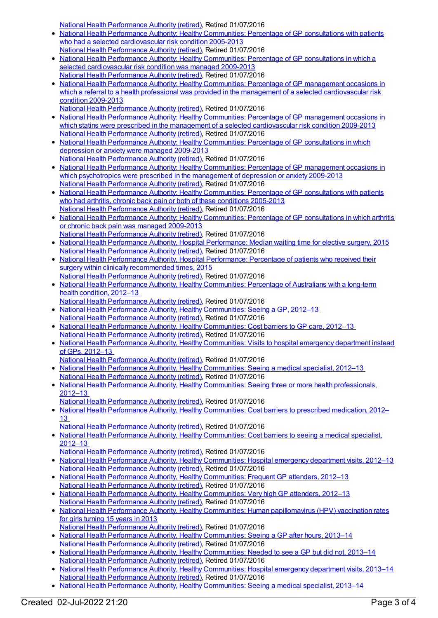National Health [Performance](https://meteor.aihw.gov.au/RegistrationAuthority/8) Authority (retired), Retired 01/07/2016

- National Health Performance Authority: Healthy [Communities:](https://meteor.aihw.gov.au/content/593783) Percentage of GP consultations with patients who had a selected cardiovascular risk condition 2005-2013
- National Health [Performance](https://meteor.aihw.gov.au/RegistrationAuthority/8) Authority (retired), Retired 01/07/2016 • National Health Performance Authority: Healthy [Communities:](https://meteor.aihw.gov.au/content/593785) Percentage of GP consultations in which a selected cardiovascular risk condition was managed 2009-2013 National Health [Performance](https://meteor.aihw.gov.au/RegistrationAuthority/8) Authority (retired), Retired 01/07/2016
- National Health Performance Authority: Healthy Communities: Percentage of GP management occasions in which a referral to a health professional was provided in the management of a selected [cardiovascular](https://meteor.aihw.gov.au/content/593787) risk condition 2009-2013
- National Health [Performance](https://meteor.aihw.gov.au/RegistrationAuthority/8) Authority (retired), Retired 01/07/2016
- National Health Performance Authority: Healthy [Communities:](https://meteor.aihw.gov.au/content/593789) Percentage of GP management occasions in which statins were prescribed in the management of a selected cardiovascular risk condition 2009-2013 National Health [Performance](https://meteor.aihw.gov.au/RegistrationAuthority/8) Authority (retired), Retired 01/07/2016
- National Health Performance Authority: Healthy [Communities:](https://meteor.aihw.gov.au/content/593770) Percentage of GP consultations in which depression or anxiety were managed 2009-2013 National Health [Performance](https://meteor.aihw.gov.au/RegistrationAuthority/8) Authority (retired), Retired 01/07/2016
- National Health Performance Authority: Healthy [Communities:](https://meteor.aihw.gov.au/content/593772) Percentage of GP management occasions in which psychotropics were prescribed in the management of depression or anxiety 2009-2013 National Health [Performance](https://meteor.aihw.gov.au/RegistrationAuthority/8) Authority (retired), Retired 01/07/2016
- National Health Performance Authority: Healthy [Communities:](https://meteor.aihw.gov.au/content/593793) Percentage of GP consultations with patients who had arthritis, chronic back pain or both of these conditions 2005-2013 National Health [Performance](https://meteor.aihw.gov.au/RegistrationAuthority/8) Authority (retired), Retired 01/07/2016
- National Health Performance Authority: Healthy [Communities:](https://meteor.aihw.gov.au/content/593796) Percentage of GP consultations in which arthritis or chronic back pain was managed 2009-2013 National Health [Performance](https://meteor.aihw.gov.au/RegistrationAuthority/8) Authority (retired), Retired 01/07/2016
- National Health Performance Authority, Hospital [Performance:](https://meteor.aihw.gov.au/content/603005) Median waiting time for elective surgery, 2015 National Health [Performance](https://meteor.aihw.gov.au/RegistrationAuthority/8) Authority (retired), Retired 01/07/2016
- National Health Performance Authority, Hospital [Performance:](https://meteor.aihw.gov.au/content/603039) Percentage of patients who received their surgery within clinically recommended times, 2015
- National Health [Performance](https://meteor.aihw.gov.au/RegistrationAuthority/8) Authority (retired), Retired 01/07/2016 National Health Performance Authority, Healthy [Communities:](https://meteor.aihw.gov.au/content/594173) Percentage of Australians with a long-term health condition, 2012–13
- National Health [Performance](https://meteor.aihw.gov.au/RegistrationAuthority/8) Authority (retired), Retired 01/07/2016
- National Health Performance Authority, Healthy [Communities:](https://meteor.aihw.gov.au/content/594116) Seeing a GP, 2012–13 National Health [Performance](https://meteor.aihw.gov.au/RegistrationAuthority/8) Authority (retired), Retired 01/07/2016
- National Health Performance Authority, Healthy [Communities:](https://meteor.aihw.gov.au/content/601737) Cost barriers to GP care, 2012-13 National Health [Performance](https://meteor.aihw.gov.au/RegistrationAuthority/8) Authority (retired), Retired 01/07/2016
- National Health Performance Authority, Healthy [Communities:](https://meteor.aihw.gov.au/content/594106) Visits to hospital emergency department instead of GPs, 2012–13
- National Health [Performance](https://meteor.aihw.gov.au/RegistrationAuthority/8) Authority (retired), Retired 01/07/2016
- National Health Performance Authority, Healthy [Communities:](https://meteor.aihw.gov.au/content/594772) Seeing a medical specialist, 2012–13 National Health [Performance](https://meteor.aihw.gov.au/RegistrationAuthority/8) Authority (retired), Retired 01/07/2016
- National Health Performance Authority, Healthy [Communities:](https://meteor.aihw.gov.au/content/601739) Seeing three or more health professionals, 2012–13
- National Health [Performance](https://meteor.aihw.gov.au/RegistrationAuthority/8) Authority (retired), Retired 01/07/2016
- National Health Performance Authority, Healthy [Communities:](https://meteor.aihw.gov.au/content/601821) Cost barriers to prescribed medication, 2012– 13
- National Health [Performance](https://meteor.aihw.gov.au/RegistrationAuthority/8) Authority (retired), Retired 01/07/2016
- National Health Performance Authority, Healthy [Communities:](https://meteor.aihw.gov.au/content/601815) Cost barriers to seeing a medical specialist, 2012–13
- National Health [Performance](https://meteor.aihw.gov.au/RegistrationAuthority/8) Authority (retired), Retired 01/07/2016
- National Health Performance Authority, Healthy [Communities:](https://meteor.aihw.gov.au/content/601895) Hospital emergency department visits, 2012–13  $\bullet$ National Health [Performance](https://meteor.aihw.gov.au/RegistrationAuthority/8) Authority (retired), Retired 01/07/2016
- National Health Performance Authority, Healthy [Communities:](https://meteor.aihw.gov.au/content/601534) Frequent GP attenders, 2012–13 National Health [Performance](https://meteor.aihw.gov.au/RegistrationAuthority/8) Authority (retired), Retired 01/07/2016
- National Health Performance Authority, Healthy [Communities:](https://meteor.aihw.gov.au/content/601536) Very high GP attenders, 2012-13 National Health [Performance](https://meteor.aihw.gov.au/RegistrationAuthority/8) Authority (retired), Retired 01/07/2016
- National Health Performance Authority, Healthy Communities: Human [papillomavirus](https://meteor.aihw.gov.au/content/611806) (HPV) vaccination rates for girls turning 15 years in 2013
- National Health [Performance](https://meteor.aihw.gov.au/RegistrationAuthority/8) Authority (retired), Retired 01/07/2016
- National Health Performance Authority, Healthy [Communities:](https://meteor.aihw.gov.au/content/611260) Seeing a GP after hours, 2013–14 National Health [Performance](https://meteor.aihw.gov.au/RegistrationAuthority/8) Authority (retired), Retired 01/07/2016
- National Health Performance Authority, Healthy [Communities:](https://meteor.aihw.gov.au/content/611126) Needed to see a GP but did not, 2013–14 National Health [Performance](https://meteor.aihw.gov.au/RegistrationAuthority/8) Authority (retired), Retired 01/07/2016
- National Health Performance Authority, Healthy [Communities:](https://meteor.aihw.gov.au/content/611080) Hospital emergency department visits, 2013-14 National Health [Performance](https://meteor.aihw.gov.au/RegistrationAuthority/8) Authority (retired), Retired 01/07/2016
- National Health Performance Authority, Healthy [Communities:](https://meteor.aihw.gov.au/content/611072) Seeing a medical specialist, 2013–14